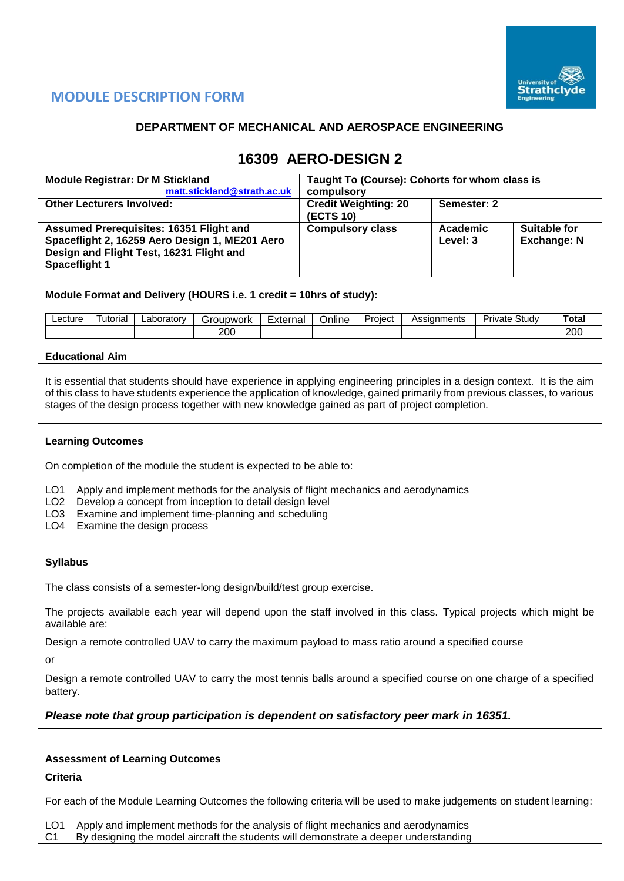

# **MODULE DESCRIPTION FORM**

## **DEPARTMENT OF MECHANICAL AND AEROSPACE ENGINEERING**

# **16309 AERO-DESIGN 2**

| <b>Module Registrar: Dr M Stickland</b>                                                                                                                              | Taught To (Course): Cohorts for whom class is |                      |                                           |  |  |  |
|----------------------------------------------------------------------------------------------------------------------------------------------------------------------|-----------------------------------------------|----------------------|-------------------------------------------|--|--|--|
| matt.stickland@strath.ac.uk                                                                                                                                          | compulsory                                    |                      |                                           |  |  |  |
| <b>Other Lecturers Involved:</b>                                                                                                                                     | <b>Credit Weighting: 20</b><br>(ECTS 10)      | Semester: 2          |                                           |  |  |  |
| <b>Assumed Prerequisites: 16351 Flight and</b><br>Spaceflight 2, 16259 Aero Design 1, ME201 Aero<br>Design and Flight Test, 16231 Flight and<br><b>Spaceflight 1</b> | <b>Compulsory class</b>                       | Academic<br>Level: 3 | <b>Suitable for</b><br><b>Exchange: N</b> |  |  |  |

#### **Module Format and Delivery (HOURS i.e. 1 credit = 10hrs of study):**

| 200 | 200 |
|-----|-----|

#### **Educational Aim**

It is essential that students should have experience in applying engineering principles in a design context. It is the aim of this class to have students experience the application of knowledge, gained primarily from previous classes, to various stages of the design process together with new knowledge gained as part of project completion.

#### **Learning Outcomes**

On completion of the module the student is expected to be able to:

- LO1 Apply and implement methods for the analysis of flight mechanics and aerodynamics
- LO2 Develop a concept from inception to detail design level
- LO3 Examine and implement time-planning and scheduling
- LO4 Examine the design process

#### **Syllabus**

The class consists of a semester-long design/build/test group exercise.

The projects available each year will depend upon the staff involved in this class. Typical projects which might be available are:

Design a remote controlled UAV to carry the maximum payload to mass ratio around a specified course

or

Design a remote controlled UAV to carry the most tennis balls around a specified course on one charge of a specified battery.

#### *Please note that group participation is dependent on satisfactory peer mark in 16351.*

#### **Assessment of Learning Outcomes**

## **Criteria**

For each of the Module Learning Outcomes the following criteria will be used to make judgements on student learning:

LO1 Apply and implement methods for the analysis of flight mechanics and aerodynamics C1 By designing the model aircraft the students will demonstrate a deeper understanding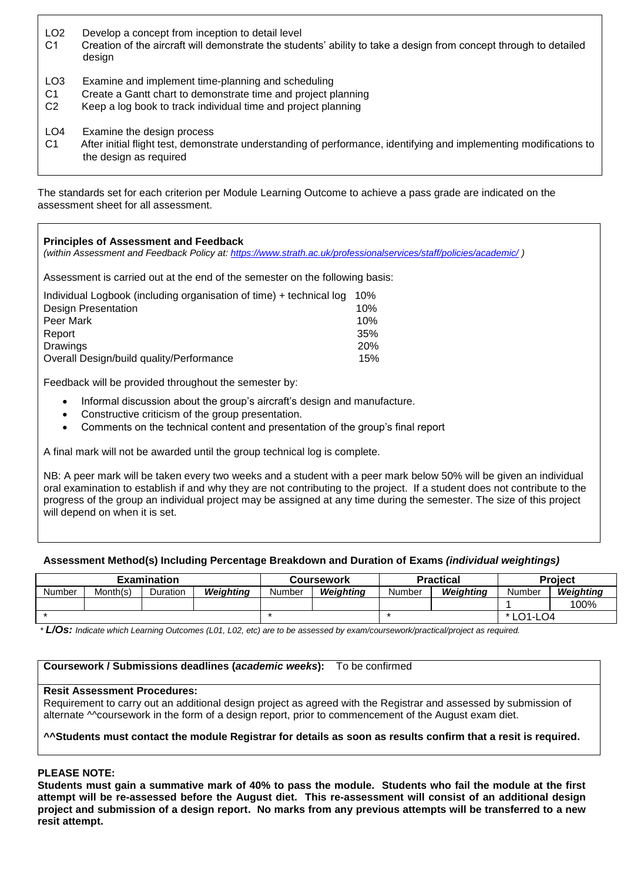- LO2 Develop a concept from inception to detail level
- C1 Creation of the aircraft will demonstrate the students' ability to take a design from concept through to detailed design
- LO3 Examine and implement time-planning and scheduling
- C1 Create a Gantt chart to demonstrate time and project planning
- C2 Keep a log book to track individual time and project planning
- LO4 Examine the design process
- C1 After initial flight test, demonstrate understanding of performance, identifying and implementing modifications to the design as required

The standards set for each criterion per Module Learning Outcome to achieve a pass grade are indicated on the assessment sheet for all assessment.

| <b>Principles of Assessment and Feedback</b><br>(within Assessment and Feedback Policy at: https://www.strath.ac.uk/professionalservices/staff/policies/academic/) |            |
|--------------------------------------------------------------------------------------------------------------------------------------------------------------------|------------|
| Assessment is carried out at the end of the semester on the following basis:                                                                                       |            |
| Individual Logbook (including organisation of time) + technical log                                                                                                | 10%        |
| Design Presentation                                                                                                                                                | 10%        |
| Peer Mark                                                                                                                                                          | 10%        |
| Report                                                                                                                                                             | 35%        |
| Drawings                                                                                                                                                           | <b>20%</b> |
| Overall Design/build quality/Performance                                                                                                                           | 15%        |
|                                                                                                                                                                    |            |

Feedback will be provided throughout the semester by:

- Informal discussion about the group's aircraft's design and manufacture.
- Constructive criticism of the group presentation.
- Comments on the technical content and presentation of the group's final report

A final mark will not be awarded until the group technical log is complete.

NB: A peer mark will be taken every two weeks and a student with a peer mark below 50% will be given an individual oral examination to establish if and why they are not contributing to the project. If a student does not contribute to the progress of the group an individual project may be assigned at any time during the semester. The size of this project will depend on when it is set.

#### **Assessment Method(s) Including Percentage Breakdown and Duration of Exams** *(individual weightings)*

| <b>Examination</b> |          |          | <b>Coursework</b> |        |           | <b>Practical</b> | <b>Project</b> |        |           |
|--------------------|----------|----------|-------------------|--------|-----------|------------------|----------------|--------|-----------|
| <b>Number</b>      | Month(s) | Duration | Weighting         | Number | Weighting | Number           | Weiahtina      | Number | Weiahtina |
|                    |          |          |                   |        |           |                  |                |        | 100%      |
|                    |          |          |                   |        |           |                  | * LO1-LO4      |        |           |

*\* L/Os: Indicate which Learning Outcomes (L01, L02, etc) are to be assessed by exam/coursework/practical/project as required.*

#### **Coursework / Submissions deadlines (***academic weeks***):** To be confirmed

#### **Resit Assessment Procedures:**

Requirement to carry out an additional design project as agreed with the Registrar and assessed by submission of alternate <sup>M</sup>coursework in the form of a design report, prior to commencement of the August exam diet.

#### **^^Students must contact the module Registrar for details as soon as results confirm that a resit is required.**

#### **PLEASE NOTE:**

**Students must gain a summative mark of 40% to pass the module. Students who fail the module at the first attempt will be re-assessed before the August diet. This re-assessment will consist of an additional design project and submission of a design report. No marks from any previous attempts will be transferred to a new resit attempt.**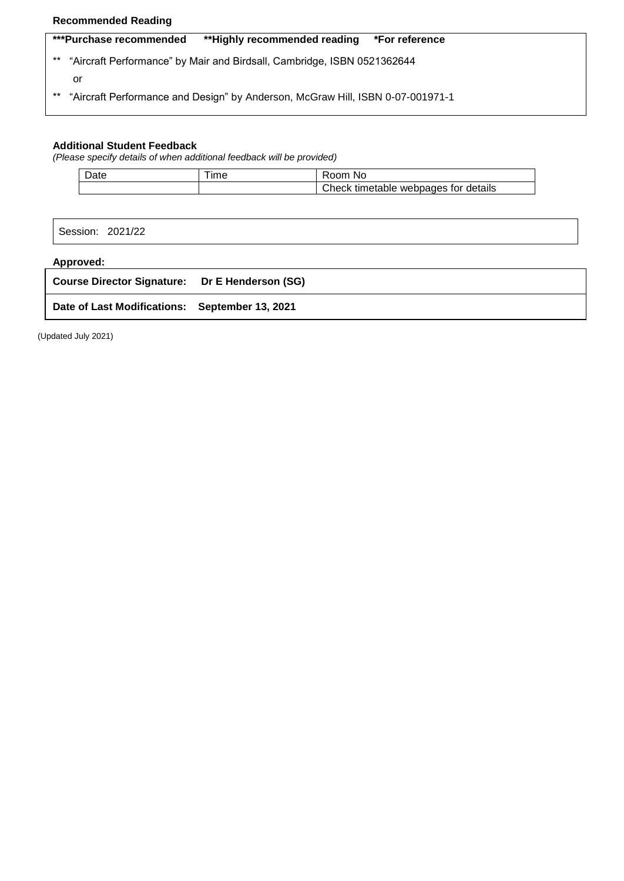## **Recommended Reading**

|       | ***Purchase recommended | **Highly recommended reading                                                   | *For reference |
|-------|-------------------------|--------------------------------------------------------------------------------|----------------|
| $***$ |                         | "Aircraft Performance" by Mair and Birdsall, Cambridge, ISBN 0521362644        |                |
|       | or                      |                                                                                |                |
| $***$ |                         | "Aircraft Performance and Design" by Anderson, McGraw Hill, ISBN 0-07-001971-1 |                |
|       |                         |                                                                                |                |

### **Additional Student Feedback**

*(Please specify details of when additional feedback will be provided)*

| Date | --<br>ıme | Room No                              |
|------|-----------|--------------------------------------|
|      |           | Check timetable webpages for details |

Session: 2021/22

## **Approved:**

| Course Director Signature: Dr E Henderson (SG) |  |
|------------------------------------------------|--|
| Date of Last Modifications: September 13, 2021 |  |

(Updated July 2021)